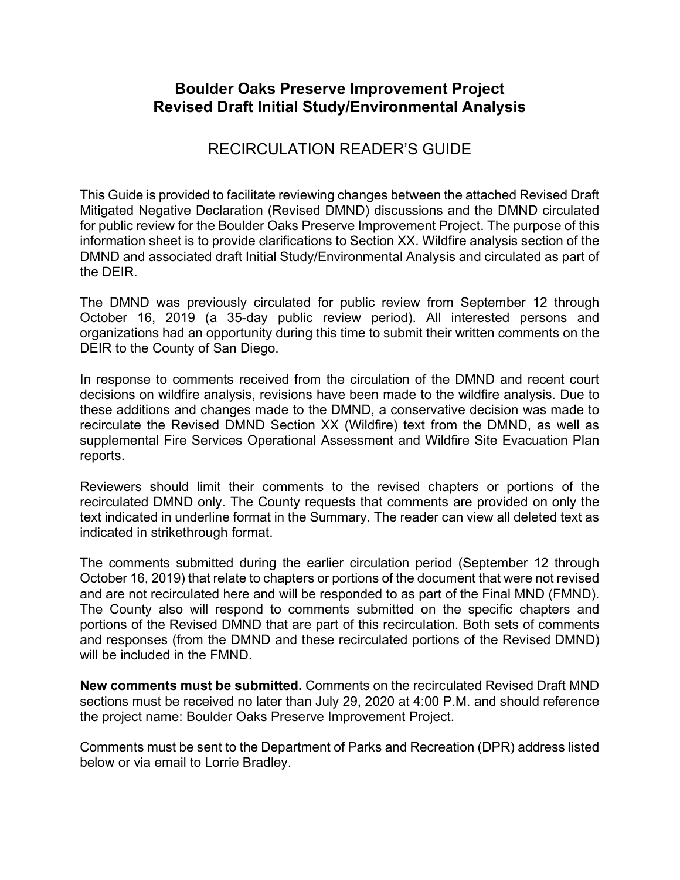## **Boulder Oaks Preserve Improvement Project Revised Draft Initial Study/Environmental Analysis**

## RECIRCULATION READER'S GUIDE

This Guide is provided to facilitate reviewing changes between the attached Revised Draft Mitigated Negative Declaration (Revised DMND) discussions and the DMND circulated for public review for the Boulder Oaks Preserve Improvement Project. The purpose of this information sheet is to provide clarifications to Section XX. Wildfire analysis section of the DMND and associated draft Initial Study/Environmental Analysis and circulated as part of the DEIR.

The DMND was previously circulated for public review from September 12 through October 16, 2019 (a 35-day public review period). All interested persons and organizations had an opportunity during this time to submit their written comments on the DEIR to the County of San Diego.

In response to comments received from the circulation of the DMND and recent court decisions on wildfire analysis, revisions have been made to the wildfire analysis. Due to these additions and changes made to the DMND, a conservative decision was made to recirculate the Revised DMND Section XX (Wildfire) text from the DMND, as well as supplemental Fire Services Operational Assessment and Wildfire Site Evacuation Plan reports.

Reviewers should limit their comments to the revised chapters or portions of the recirculated DMND only. The County requests that comments are provided on only the text indicated in underline format in the Summary. The reader can view all deleted text as indicated in strikethrough format.

The comments submitted during the earlier circulation period (September 12 through October 16, 2019) that relate to chapters or portions of the document that were not revised and are not recirculated here and will be responded to as part of the Final MND (FMND). The County also will respond to comments submitted on the specific chapters and portions of the Revised DMND that are part of this recirculation. Both sets of comments and responses (from the DMND and these recirculated portions of the Revised DMND) will be included in the FMND.

**New comments must be submitted.** Comments on the recirculated Revised Draft MND sections must be received no later than July 29, 2020 at 4:00 P.M. and should reference the project name: Boulder Oaks Preserve Improvement Project.

Comments must be sent to the Department of Parks and Recreation (DPR) address listed below or via email to Lorrie Bradley.